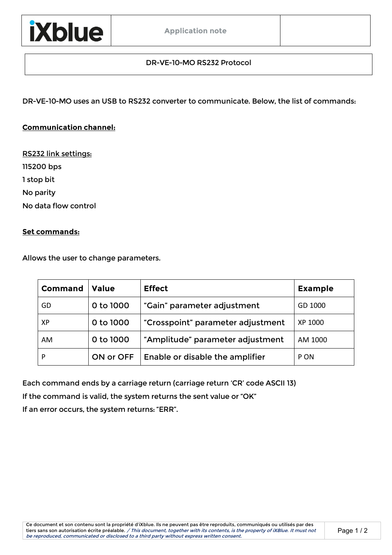## DR-VE-10-MO RS232 Protocol

DR-VE-10-MO uses an USB to RS232 converter to communicate. Below, the list of commands:

## **Communication channel:**

RS232 link settings: 115200 bps 1 stop bit No parity No data flow control

#### **Set commands:**

Allows the user to change parameters.

| Command | <b>Value</b> | <b>Effect</b>                          | <b>Example</b> |
|---------|--------------|----------------------------------------|----------------|
| GD      | 0 to 1000    | "Gain" parameter adjustment            | GD 1000        |
| ХP      | 0 to 1000    | "Crosspoint" parameter adjustment      | XP 1000        |
| AM      | 0 to 1000    | "Amplitude" parameter adjustment       | AM 1000        |
| P       | ON or OFF    | <b>Enable or disable the amplifier</b> | P ON           |

Each command ends by a carriage return (carriage return 'CR' code ASCII 13)

If the command is valid, the system returns the sent value or "OK"

If an error occurs, the system returns: "ERR".